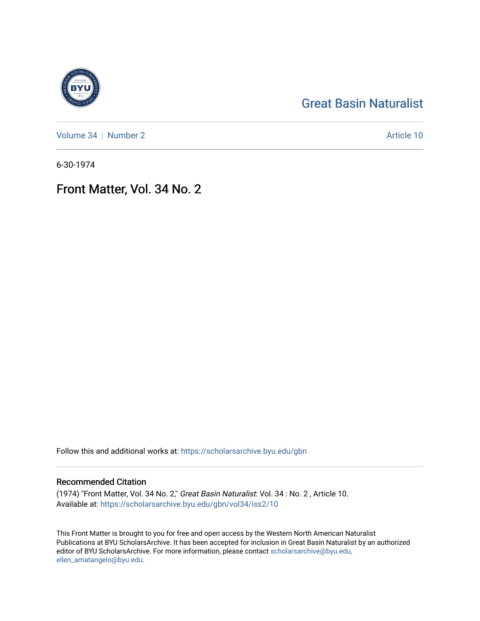## [Great Basin Naturalist](https://scholarsarchive.byu.edu/gbn)

[Volume 34](https://scholarsarchive.byu.edu/gbn/vol34) [Number 2](https://scholarsarchive.byu.edu/gbn/vol34/iss2) Article 10

6-30-1974

## Front Matter, Vol. 34 No. 2

Follow this and additional works at: [https://scholarsarchive.byu.edu/gbn](https://scholarsarchive.byu.edu/gbn?utm_source=scholarsarchive.byu.edu%2Fgbn%2Fvol34%2Fiss2%2F10&utm_medium=PDF&utm_campaign=PDFCoverPages) 

#### Recommended Citation

(1974) "Front Matter, Vol. 34 No. 2," Great Basin Naturalist: Vol. 34 : No. 2 , Article 10. Available at: [https://scholarsarchive.byu.edu/gbn/vol34/iss2/10](https://scholarsarchive.byu.edu/gbn/vol34/iss2/10?utm_source=scholarsarchive.byu.edu%2Fgbn%2Fvol34%2Fiss2%2F10&utm_medium=PDF&utm_campaign=PDFCoverPages) 

This Front Matter is brought to you for free and open access by the Western North American Naturalist Publications at BYU ScholarsArchive. It has been accepted for inclusion in Great Basin Naturalist by an authorized editor of BYU ScholarsArchive. For more information, please contact [scholarsarchive@byu.edu,](mailto:scholarsarchive@byu.edu,%20ellen_amatangelo@byu.edu) [ellen\\_amatangelo@byu.edu](mailto:scholarsarchive@byu.edu,%20ellen_amatangelo@byu.edu).

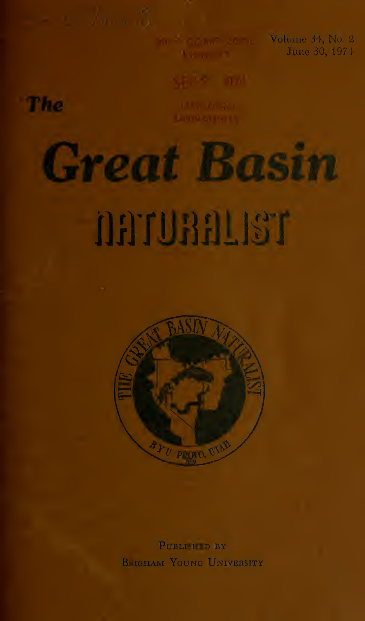Automotive Co.

Volume 31, No. 2 June 30, 1974



The

# Great Basin

## narquanter



PUBLISHID BY BIRGHAM YOUNG UNIVERSITY